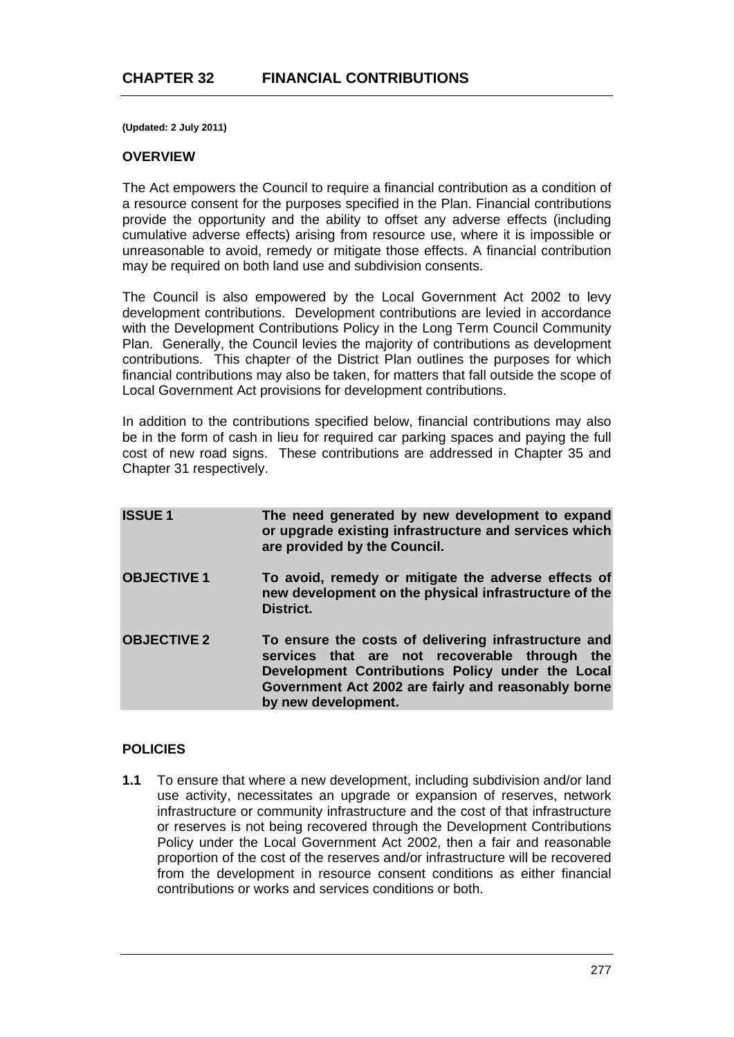**(Updated: 2 July 2011)** 

## **OVERVIEW**

The Act empowers the Council to require a financial contribution as a condition of a resource consent for the purposes specified in the Plan. Financial contributions provide the opportunity and the ability to offset any adverse effects (including cumulative adverse effects) arising from resource use, where it is impossible or unreasonable to avoid, remedy or mitigate those effects. A financial contribution may be required on both land use and subdivision consents.

The Council is also empowered by the Local Government Act 2002 to levy development contributions. Development contributions are levied in accordance with the Development Contributions Policy in the Long Term Council Community Plan. Generally, the Council levies the majority of contributions as development contributions. This chapter of the District Plan outlines the purposes for which financial contributions may also be taken, for matters that fall outside the scope of Local Government Act provisions for development contributions.

In addition to the contributions specified below, financial contributions may also be in the form of cash in lieu for required car parking spaces and paying the full cost of new road signs. These contributions are addressed in Chapter 35 and Chapter 31 respectively.

| <b>ISSUE1</b>      | The need generated by new development to expand<br>or upgrade existing infrastructure and services which<br>are provided by the Council.                                                                                                |
|--------------------|-----------------------------------------------------------------------------------------------------------------------------------------------------------------------------------------------------------------------------------------|
| <b>OBJECTIVE 1</b> | To avoid, remedy or mitigate the adverse effects of<br>new development on the physical infrastructure of the<br>District.                                                                                                               |
| <b>OBJECTIVE 2</b> | To ensure the costs of delivering infrastructure and<br>services that are not recoverable through the<br>Development Contributions Policy under the Local<br>Government Act 2002 are fairly and reasonably borne<br>by new development. |

# **POLICIES**

**1.1** To ensure that where a new development, including subdivision and/or land use activity, necessitates an upgrade or expansion of reserves, network infrastructure or community infrastructure and the cost of that infrastructure or reserves is not being recovered through the Development Contributions Policy under the Local Government Act 2002, then a fair and reasonable proportion of the cost of the reserves and/or infrastructure will be recovered from the development in resource consent conditions as either financial contributions or works and services conditions or both.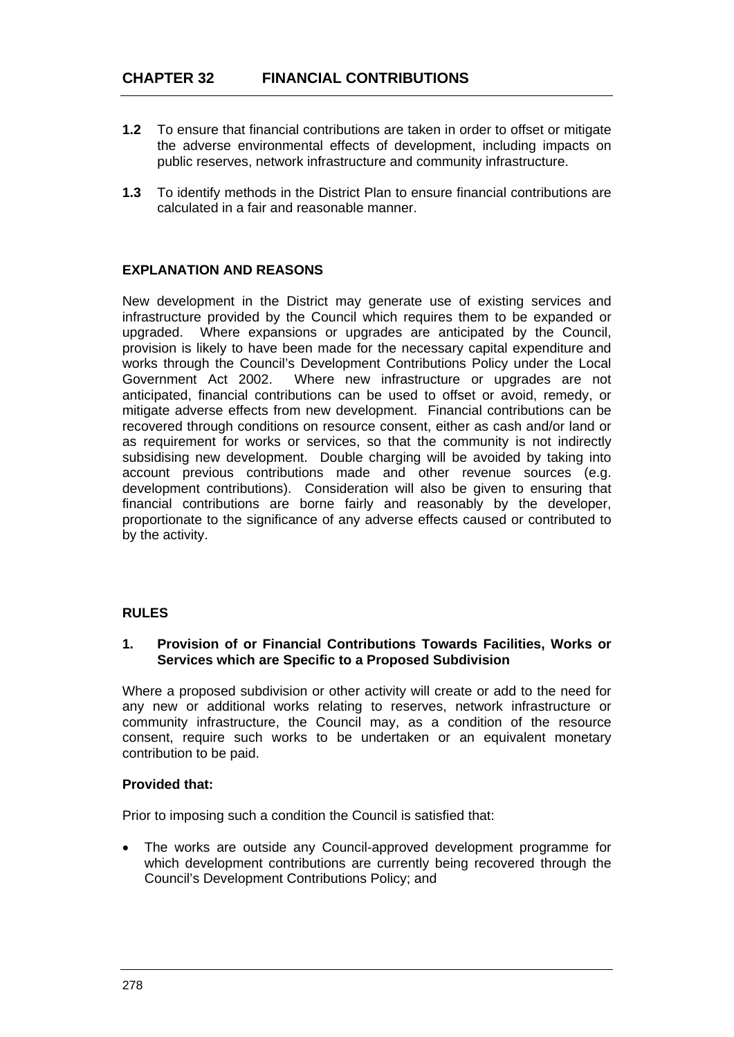- **1.2** To ensure that financial contributions are taken in order to offset or mitigate the adverse environmental effects of development, including impacts on public reserves, network infrastructure and community infrastructure.
- **1.3** To identify methods in the District Plan to ensure financial contributions are calculated in a fair and reasonable manner.

# **EXPLANATION AND REASONS**

New development in the District may generate use of existing services and infrastructure provided by the Council which requires them to be expanded or upgraded. Where expansions or upgrades are anticipated by the Council, provision is likely to have been made for the necessary capital expenditure and works through the Council's Development Contributions Policy under the Local Government Act 2002. Where new infrastructure or upgrades are not anticipated, financial contributions can be used to offset or avoid, remedy, or mitigate adverse effects from new development. Financial contributions can be recovered through conditions on resource consent, either as cash and/or land or as requirement for works or services, so that the community is not indirectly subsidising new development. Double charging will be avoided by taking into account previous contributions made and other revenue sources (e.g. development contributions). Consideration will also be given to ensuring that financial contributions are borne fairly and reasonably by the developer, proportionate to the significance of any adverse effects caused or contributed to by the activity.

# **RULES**

### **1. Provision of or Financial Contributions Towards Facilities, Works or Services which are Specific to a Proposed Subdivision**

Where a proposed subdivision or other activity will create or add to the need for any new or additional works relating to reserves, network infrastructure or community infrastructure, the Council may, as a condition of the resource consent, require such works to be undertaken or an equivalent monetary contribution to be paid.

#### **Provided that:**

Prior to imposing such a condition the Council is satisfied that:

 The works are outside any Council-approved development programme for which development contributions are currently being recovered through the Council's Development Contributions Policy; and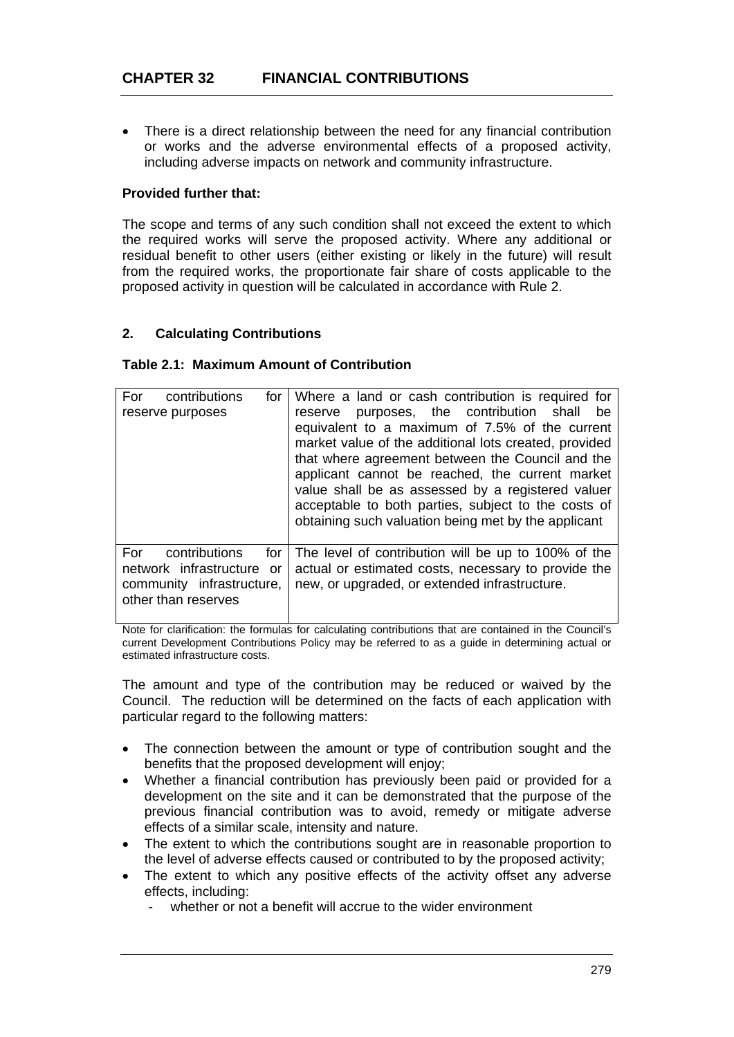There is a direct relationship between the need for any financial contribution or works and the adverse environmental effects of a proposed activity, including adverse impacts on network and community infrastructure.

## **Provided further that:**

The scope and terms of any such condition shall not exceed the extent to which the required works will serve the proposed activity. Where any additional or residual benefit to other users (either existing or likely in the future) will result from the required works, the proportionate fair share of costs applicable to the proposed activity in question will be calculated in accordance with Rule 2.

# **2. Calculating Contributions**

#### **Table 2.1: Maximum Amount of Contribution**

| For<br>contributions<br>for<br>reserve purposes                                                                 | Where a land or cash contribution is required for<br>purposes, the contribution shall<br>be<br>reserve<br>equivalent to a maximum of 7.5% of the current<br>market value of the additional lots created, provided<br>that where agreement between the Council and the<br>applicant cannot be reached, the current market<br>value shall be as assessed by a registered valuer<br>acceptable to both parties, subject to the costs of<br>obtaining such valuation being met by the applicant |
|-----------------------------------------------------------------------------------------------------------------|---------------------------------------------------------------------------------------------------------------------------------------------------------------------------------------------------------------------------------------------------------------------------------------------------------------------------------------------------------------------------------------------------------------------------------------------------------------------------------------------|
| For<br>contributions<br>for<br>network infrastructure<br>or<br>community infrastructure,<br>other than reserves | The level of contribution will be up to 100% of the<br>actual or estimated costs, necessary to provide the<br>new, or upgraded, or extended infrastructure.                                                                                                                                                                                                                                                                                                                                 |

Note for clarification: the formulas for calculating contributions that are contained in the Council's current Development Contributions Policy may be referred to as a guide in determining actual or estimated infrastructure costs.

The amount and type of the contribution may be reduced or waived by the Council. The reduction will be determined on the facts of each application with particular regard to the following matters:

- The connection between the amount or type of contribution sought and the benefits that the proposed development will enjoy;
- Whether a financial contribution has previously been paid or provided for a development on the site and it can be demonstrated that the purpose of the previous financial contribution was to avoid, remedy or mitigate adverse effects of a similar scale, intensity and nature.
- The extent to which the contributions sought are in reasonable proportion to the level of adverse effects caused or contributed to by the proposed activity;
- The extent to which any positive effects of the activity offset any adverse effects, including:
	- whether or not a benefit will accrue to the wider environment